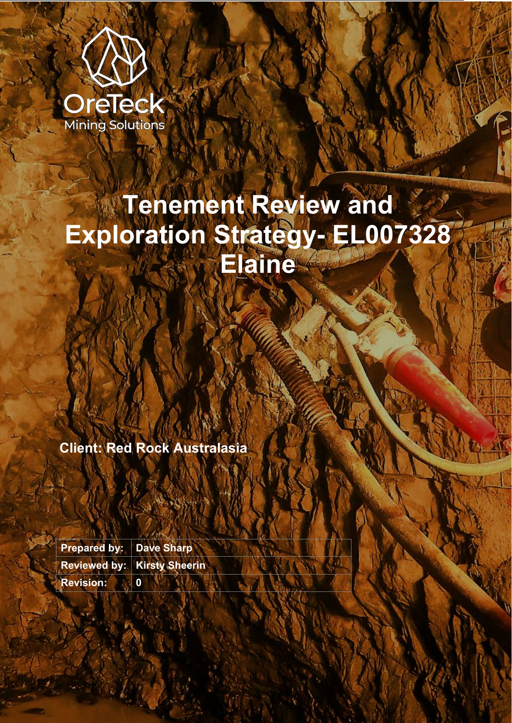

# **Tenement Review and Exploration Strategy- EL007328 Elaine**

**Client: Red Rock Australasia**

**Prepared by: Dave Sharp Reviewed by: Kirsty Sheerin Revision: 0**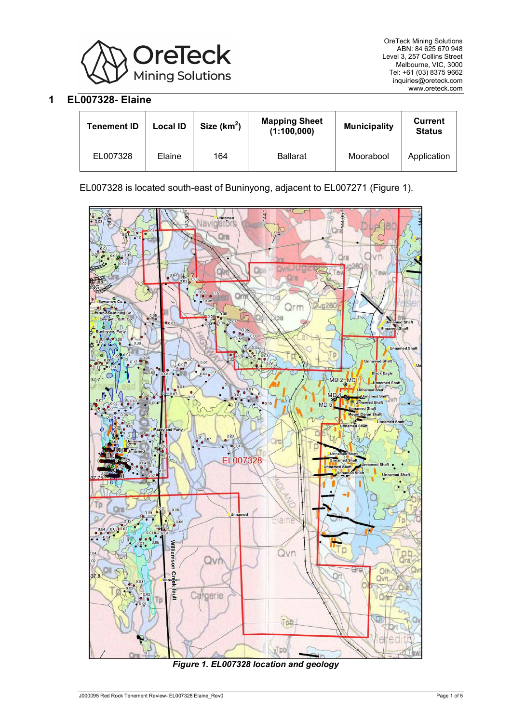

## **1 EL007328- Elaine**

| <b>Tenement ID</b> | Local ID | Size $(km2)$ | <b>Mapping Sheet</b><br>(1:100,000) | <b>Municipality</b> | Current<br><b>Status</b> |
|--------------------|----------|--------------|-------------------------------------|---------------------|--------------------------|
| EL007328           | Elaine   | 164          | <b>Ballarat</b>                     | Moorabool           | Application              |

EL007328 is located south-east of Buninyong, adjacent to EL007271 [\(Figure 1\)](#page-1-0).



<span id="page-1-0"></span>*Figure 1. EL007328 location and geology*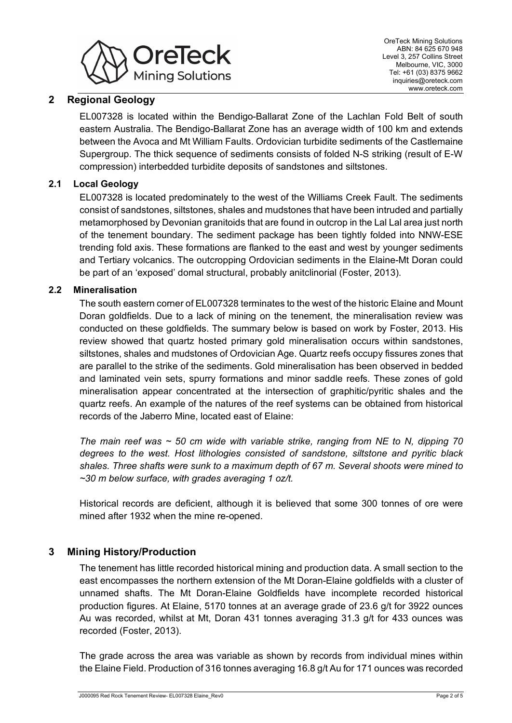

## **2 Regional Geology**

EL007328 is located within the Bendigo-Ballarat Zone of the Lachlan Fold Belt of south eastern Australia. The Bendigo-Ballarat Zone has an average width of 100 km and extends between the Avoca and Mt William Faults. Ordovician turbidite sediments of the Castlemaine Supergroup. The thick sequence of sediments consists of folded N-S striking (result of E-W compression) interbedded turbidite deposits of sandstones and siltstones.

### **2.1 Local Geology**

EL007328 is located predominately to the west of the Williams Creek Fault. The sediments consist of sandstones, siltstones, shales and mudstones that have been intruded and partially metamorphosed by Devonian granitoids that are found in outcrop in the Lal Lal area just north of the tenement boundary. The sediment package has been tightly folded into NNW-ESE trending fold axis. These formations are flanked to the east and west by younger sediments and Tertiary volcanics. The outcropping Ordovician sediments in the Elaine-Mt Doran could be part of an 'exposed' domal structural, probably anitclinorial (Foster, 2013).

#### **2.2 Mineralisation**

The south eastern corner of EL007328 terminates to the west of the historic Elaine and Mount Doran goldfields. Due to a lack of mining on the tenement, the mineralisation review was conducted on these goldfields. The summary below is based on work by Foster, 2013. His review showed that quartz hosted primary gold mineralisation occurs within sandstones, siltstones, shales and mudstones of Ordovician Age. Quartz reefs occupy fissures zones that are parallel to the strike of the sediments. Gold mineralisation has been observed in bedded and laminated vein sets, spurry formations and minor saddle reefs. These zones of gold mineralisation appear concentrated at the intersection of graphitic/pyritic shales and the quartz reefs. An example of the natures of the reef systems can be obtained from historical records of the Jaberro Mine, located east of Elaine:

*The main reef was ~ 50 cm wide with variable strike, ranging from NE to N, dipping 70 degrees to the west. Host lithologies consisted of sandstone, siltstone and pyritic black shales. Three shafts were sunk to a maximum depth of 67 m. Several shoots were mined to ~30 m below surface, with grades averaging 1 oz/t.* 

Historical records are deficient, although it is believed that some 300 tonnes of ore were mined after 1932 when the mine re-opened.

## **3 Mining History/Production**

The tenement has little recorded historical mining and production data. A small section to the east encompasses the northern extension of the Mt Doran-Elaine goldfields with a cluster of unnamed shafts. The Mt Doran-Elaine Goldfields have incomplete recorded historical production figures. At Elaine, 5170 tonnes at an average grade of 23.6 g/t for 3922 ounces Au was recorded, whilst at Mt, Doran 431 tonnes averaging 31.3 g/t for 433 ounces was recorded (Foster, 2013).

The grade across the area was variable as shown by records from individual mines within the Elaine Field. Production of 316 tonnes averaging 16.8 g/t Au for 171 ounces was recorded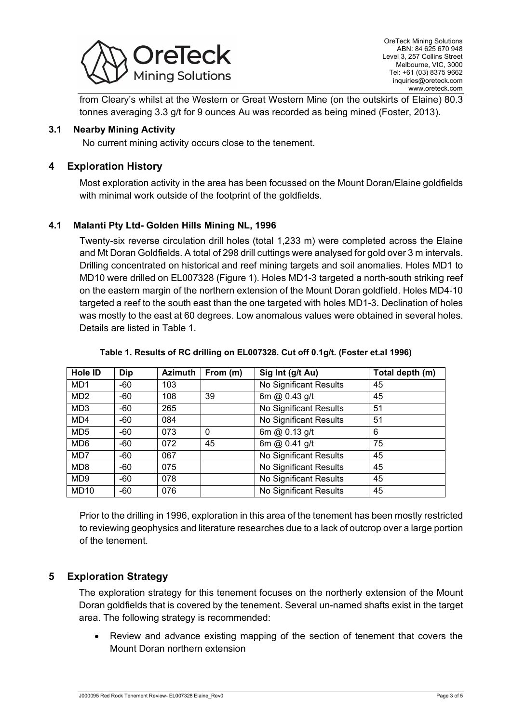

from Cleary's whilst at the Western or Great Western Mine (on the outskirts of Elaine) 80.3 tonnes averaging 3.3 g/t for 9 ounces Au was recorded as being mined (Foster, 2013).

#### **3.1 Nearby Mining Activity**

No current mining activity occurs close to the tenement.

## **4 Exploration History**

Most exploration activity in the area has been focussed on the Mount Doran/Elaine goldfields with minimal work outside of the footprint of the goldfields.

## **4.1 Malanti Pty Ltd- Golden Hills Mining NL, 1996**

Twenty-six reverse circulation drill holes (total 1,233 m) were completed across the Elaine and Mt Doran Goldfields. A total of 298 drill cuttings were analysed for gold over 3 m intervals. Drilling concentrated on historical and reef mining targets and soil anomalies. Holes MD1 to MD10 were drilled on EL007328 [\(Figure 1\)](#page-1-0). Holes MD1-3 targeted a north-south striking reef on the eastern margin of the northern extension of the Mount Doran goldfield. Holes MD4-10 targeted a reef to the south east than the one targeted with holes MD1-3. Declination of holes was mostly to the east at 60 degrees. Low anomalous values were obtained in several holes. Details are listed in [Table 1.](#page-3-0)

<span id="page-3-0"></span>

| Hole ID          | Dip   | <b>Azimuth</b> | From (m)    | Sig Int (g/t Au)       | Total depth (m) |
|------------------|-------|----------------|-------------|------------------------|-----------------|
| MD <sub>1</sub>  | -60   | 103            |             | No Significant Results | 45              |
| MD <sub>2</sub>  | -60   | 108            | 39          | 6m @ 0.43 g/t          | 45              |
| MD <sub>3</sub>  | $-60$ | 265            |             | No Significant Results | 51              |
| MD4              | -60   | 084            |             | No Significant Results | 51              |
| MD <sub>5</sub>  | -60   | 073            | $\mathbf 0$ | 6m @ $0.13$ g/t        | 6               |
| MD <sub>6</sub>  | $-60$ | 072            | 45          | 6m @ 0.41 g/t          | 75              |
| MD7              | -60   | 067            |             | No Significant Results | 45              |
| MD <sub>8</sub>  | -60   | 075            |             | No Significant Results | 45              |
| MD <sub>9</sub>  | $-60$ | 078            |             | No Significant Results | 45              |
| MD <sub>10</sub> | -60   | 076            |             | No Significant Results | 45              |

#### **Table 1. Results of RC drilling on EL007328. Cut off 0.1g/t. (Foster et.al 1996)**

Prior to the drilling in 1996, exploration in this area of the tenement has been mostly restricted to reviewing geophysics and literature researches due to a lack of outcrop over a large portion of the tenement.

# **5 Exploration Strategy**

The exploration strategy for this tenement focuses on the northerly extension of the Mount Doran goldfields that is covered by the tenement. Several un-named shafts exist in the target area. The following strategy is recommended:

• Review and advance existing mapping of the section of tenement that covers the Mount Doran northern extension